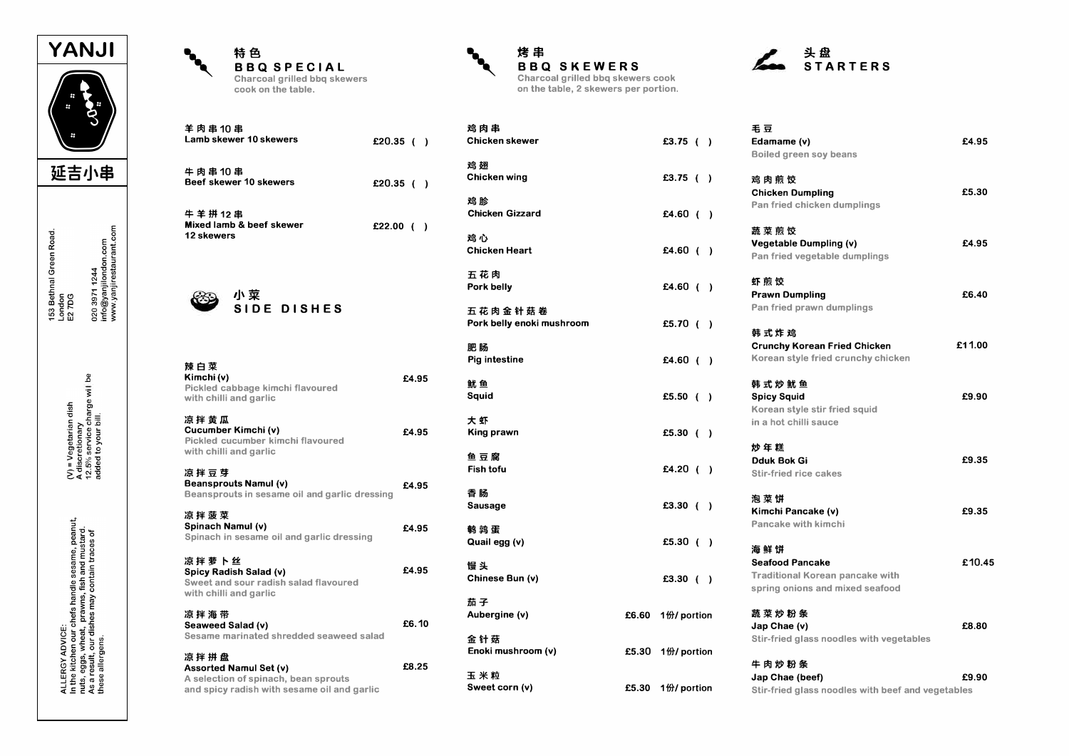

020 3971 1244<br>info@yanjilondon.com<br>www.yanjirestaurant.com 153 Bethnal Green Road.<br>London<br>E2 7DG

(V) = Vegetarian dish<br>A discretionary<br>12.5% service charge wi | be<br>added to your bill.

ALLERGY ADVICE:<br>In the kitchen our chefs handle sesame, peanut,<br>nuts, sggs, wheat, prawns, fish and mustard.<br>these allergens.

| 特 色                                          |
|----------------------------------------------|
| <b>BBQ SPECIA</b>                            |
| Charcoal grilled bbg s<br>cook on the table. |

羊肉串10串

牛肉串10串

牛羊拼12串

12 skewers

辣白菜

Kimchi (v)

凉拌黄瓜

凉拌豆芽

凉拌菠菜

凉拌萝卜丝

凉拌海带

凉拌拼盘

with chilli and garlic

Cucumber Kimchi (v)

with chilli and garlic

**Beansprouts Namul (v)** 

Spicy Radish Salad (v)

with chilli and garlic

Seaweed Salad (v)

**Assorted Namul Set (v)** 

Spinach Namul (v)

Lamb skewer 10 skewers

Beef skewer 10 skewers

Mixed lamb & beef skewer

小菜

Pickled cabbage kimchi flavoured

Pickled cucumber kimchi flavoured

Beansprouts in sesame oil and garlic dressing

Spinach in sesame oil and garlic dressing

Sweet and sour radish salad flavoured

A selection of spinach, bean sprouts

Sesame marinated shredded seaweed salad

and spicy radish with sesame oil and garlic

SIDE DISHES

L

skewers 鸡肉串

Chicken skewer

**Chicken wing** 

**Chicken Gizzard** 

五花肉金针菇卷

Pork belly enoki mushroom

鸡翅

鸡脸

鸡心 **Chicken Heart** 

五花肉 Pork belly

肥肠 Pig intestine

鱿鱼

**Sauid** 

大虾

鱼豆腐 **Fish tofu** 

香肠

**Sausage** 

鹤鹑蛋

慢 头

茄子 Aubergine (v)

金针菇

玉米粒

Sweet corn (v)

Quail egg (v)

Chinese Bun (v)

Enoki mushroom (v)

King prawn

£20.35 ()

£20.35 ()

£22.00  $( )$ 

£4.95

£4.95

£4.95

£4.95

£4.95

£6.10

£8.25





|       |                              | 毛豆                                                |        |
|-------|------------------------------|---------------------------------------------------|--------|
|       | £3.75 ()                     | Edamame (v)                                       | £4.95  |
|       |                              | Boiled green soy beans                            |        |
|       | £3.75 $( )$                  | 鸡 肉 煎 饺                                           |        |
|       |                              | <b>Chicken Dumpling</b>                           | £5.30  |
|       |                              | Pan fried chicken dumplings                       |        |
|       | £4.60 $( )$                  |                                                   |        |
|       |                              | 蔬菜煎饺                                              |        |
|       | £4.60 $( )$                  | Vegetable Dumpling (v)                            | £4.95  |
|       |                              | Pan fried vegetable dumplings                     |        |
|       |                              | 虾煎饺                                               |        |
|       | £4.60 $( )$                  | <b>Prawn Dumpling</b>                             | £6.40  |
|       |                              | Pan fried prawn dumplings                         |        |
|       | £5.70 $( )$                  |                                                   |        |
|       |                              | 韩式炸鸡                                              |        |
|       |                              | <b>Crunchy Korean Fried Chicken</b>               | £11.00 |
|       | £4.60 $( )$                  | Korean style fried crunchy chicken                |        |
|       |                              | 韩式炒鱿鱼                                             |        |
|       | £5.50 $( )$                  | <b>Spicy Squid</b>                                | £9.90  |
|       |                              | Korean style stir fried squid                     |        |
|       |                              | in a hot chilli sauce                             |        |
|       | £5.30 $( )$                  |                                                   |        |
|       |                              | 炒年糕                                               |        |
|       |                              | <b>Dduk Bok Gi</b>                                | £9.35  |
|       | £4.20 ( )                    | <b>Stir-fried rice cakes</b>                      |        |
|       |                              | 泡菜饼                                               |        |
|       | £3.30 $( )$                  | Kimchi Pancake (v)                                | £9.35  |
|       |                              | Pancake with kimchi                               |        |
|       | £5.30 $( )$                  |                                                   |        |
|       |                              | 海鲜饼                                               |        |
|       |                              | <b>Seafood Pancake</b>                            | £10.45 |
|       | £3.30 $( )$                  | <b>Traditional Korean pancake with</b>            |        |
|       |                              | spring onions and mixed seafood                   |        |
| £6.60 | 1份/ portion                  | 蔬菜炒粉条                                             |        |
|       |                              | Jap Chae (v)                                      | £8.80  |
|       |                              | Stir-fried glass noodles with vegetables          |        |
|       | £5.30 $1\frac{m}{D}$ portion |                                                   |        |
|       |                              | 牛肉炒粉条                                             |        |
|       |                              | Jap Chae (beef)                                   | £9.90  |
| £5.30 | 1份/ portion                  | Stir-fried glass noodles with beef and vegetables |        |